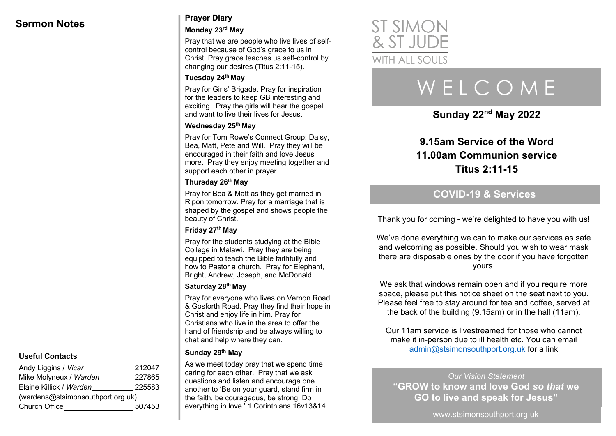## **Sermon Notes Prayer Diary**

#### **Monday 23rd May**

Pray that we are people who live lives of selfcontrol because of God's grace to us in Christ. Pray grace teaches us self-control by changing our desires (Titus 2:11-15).

#### **Tuesday 24th May**

Pray for Girls' Brigade. Pray for inspiration for the leaders to keep GB interesting and exciting. Pray the girls will hear the gospel and want to live their lives for Jesus.

#### **Wednesday 25th May**

Pray for Tom Rowe's Connect Group: Daisy, Bea, Matt, Pete and Will. Pray they will be encouraged in their faith and love Jesus more. Pray they enjoy meeting together and support each other in prayer.

#### **Thursday 26th May**

Pray for Bea & Matt as they get married in Ripon tomorrow. Pray for a marriage that is shaped by the gospel and shows people the beauty of Christ.

#### **Friday 27th May**

Pray for the students studying at the Bible College in Malawi. Pray they are being equipped to teach the Bible faithfully and how to Pastor a church. Pray for Elephant, Bright, Andrew, Joseph, and McDonald.

#### **Saturday 28th May**

Pray for everyone who lives on Vernon Road & Gosforth Road. Pray they find their hope in Christ and enjoy life in him. Pray for Christians who live in the area to offer the hand of friendship and be always willing to chat and help where they can.

#### **Sunday 29th May**

As we meet today pray that we spend time caring for each other. Pray that we ask questions and listen and encourage one another to 'Be on your guard, stand firm in the faith, be courageous, be strong. Do everything in love.' 1 Corinthians 16v13&14



# W E L C O M E

**Sunday 22nd May 2022**

## **9.15am Service of the Word 11.00am Communion service Titus 2:11-15**

## **COVID-19 & Services**

Thank you for coming - we're delighted to have you with us!

We've done everything we can to make our services as safe and welcoming as possible. Should you wish to wear mask there are disposable ones by the door if you have forgotten yours.

We ask that windows remain open and if you require more space, please put this notice sheet on the seat next to you. Please feel free to stay around for tea and coffee, served at the back of the building (9.15am) or in the hall (11am).

Our 11am service is livestreamed for those who cannot make it in-person due to ill health etc. You can email admin@stsimonsouthport.org.uk for a link

*Our Vision Statement* **"GROW to know and love God** *so that* **we GO to live and speak for Jesus"**

www.stsimonsouthport.org.uk

#### **Useful Contacts**

| Andy Liggins / Vicar              | 212047 |  |
|-----------------------------------|--------|--|
| Mike Molyneux / Warden            | 227865 |  |
| Elaine Killick / Warden           | 225583 |  |
| (wardens@stsimonsouthport.org.uk) |        |  |
| <b>Church Office</b>              | 507453 |  |